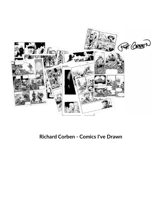

**Richard Corben - Comics I've Drawn**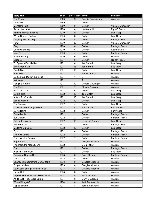| <b>Story Title</b>                  | Year | # of Pages Writer |                         | <b>Publisher</b>      |
|-------------------------------------|------|-------------------|-------------------------|-----------------------|
| The Plague                          | 1969 | 32                | Dennis Cunningham       | Weirdom               |
| Dead Hill                           | 1969 | 7                 | Corben                  |                       |
| <b>Monsters Rule</b>                | 1969 | 8                 | Corben                  | Voice of Comicdon     |
| Razar, the Unhero                   | 1970 | 8                 | <b>Herb Arnold</b>      | <b>Rip Off Press</b>  |
| Horrible Harvey's House             | 1970 | 11                | Corben                  | Last Gasp             |
| <b>When Dreams Collide</b>          | 1970 | 8                 | Corben                  | Last Gasp             |
| <b>Twighlight of the Dogs</b>       | 1970 | 10                | Corben                  | <b>Fantagor Press</b> |
| Rowlf                               | 1970 | 32                | Corben                  | Voice of Comicdon     |
| Oteg                                | 1970 | 8                 | Corben                  | <b>Fantagor Press</b> |
| <b>Gastric Fortitude</b>            | 1970 | 5                 | Corben                  | Kitchen Sink          |
| Inna Pit                            | 1970 | 4                 | Corben                  | <b>Fantagor Press</b> |
| <b>Frozen Beauty</b>                | 1970 | 6                 | Corben                  | Warren                |
| Cidopey                             | 1971 | 8                 | Corben                  | <b>Rip Off Press</b>  |
| To Spear a Fair Maiden              | 1971 | 8                 | Jan Strnad              | Last Gasp             |
| Encounter at War                    | 1971 | 13                | Jan Strnad              | <b>Bud Plant</b>      |
| Dumb Story                          | 1971 | 10                | Corben                  | Last Gasp             |
| <b>Bookworm</b>                     | 1971 | 7                 | Jerry Conway            | Warren                |
| Golden Sun Disk of the Incas        | 1971 | 1                 | ?                       | Warren                |
| Astrology                           | 1971 | 1                 | $\overline{?}$          | Warren                |
| <b>Tangible Hatred</b>              | 1971 | 10                | Donald McGregor         | Warren                |
| The Pest                            | 1971 | $\overline{7}$    | <b>Steven Skeates</b>   | Warren                |
| <b>Beast of Wolfton</b>             | 1972 | 25                | Corben                  | Last Gasp             |
| <b>Gothic Tale</b>                  | 1972 | 15                | <b>Tom Vietch</b>       | Last Gasp             |
| Kittens for Christian               | 1972 | 10                | Jan Strnad              | Last Gasp             |
| Space Jacked                        | 1972 | 10                | Corben                  | Last Gasp             |
| The Temple                          | 1972 | 4                 | Corben                  | Last Gasp             |
| To Meet the Faces you Meet          | 1972 | 16                | Jan Strnad              | Kitchen Sink          |
| Going Home                          | 1972 | 8                 | Corben                  | Funnybook             |
| Dome Battle                         | 1972 | $\overline{2}$    | Corben                  | <b>Fantagor Press</b> |
| <b>Bull Digger</b>                  | 1972 | $\overline{2}$    | Corben                  | <b>Fantagor Press</b> |
| Rats in the Walls                   | 1972 | 10                | Lovecraft-Corben        | Last Gasp             |
| Necromancer                         | 1972 | 7                 | Corben                  | <b>Fantagor Press</b> |
| Melton's Big Game                   | 1972 | 10                | Corben                  | Last Gasp             |
| Flys                                | 1972 | 4                 | Corben                  | <b>Fantagor Press</b> |
| The Awakening                       | 1972 | 4                 | Corben                  | <b>Fantagor Press</b> |
| For Love of a Demon                 | 1972 | 7                 | Corben                  | <b>Fantagor Press</b> |
| <b>Bright Eyes</b>                  | 1972 | 7                 | Douglas Moench          | Warren                |
| Friedheim the Magnificent           | 1972 | 7                 | <b>Greg Potter</b>      | Warren                |
| <b>Bug</b>                          | 1972 | 5                 | Corben                  | <b>Fantagor Press</b> |
| Alice in Wonderlust                 | 1973 | 3                 | Corben                  | <b>Bud Plant</b>      |
| Damsel in Dragon Dress              | 1973 | 6                 | Doug Moench             | <b>Fantagor Press</b> |
| <b>Terror Tomb</b>                  | 1973 | 8                 | Corben                  | Warren                |
| Change into Something Comfortable   | 1973 | 8                 | Douglas Moench          | Warren                |
| Slipped Mickey                      | 1973 | 8                 | Douglas Moench          | Warren                |
| Low Spark of High Heeled Noise      | 1973 | 8                 | Douglas Moench          | Warren                |
| Lycan klutz                         | 1973 | 8                 | Corben                  | Warren                |
| Unprovoked attack on a Hilton Hotel | 1974 | 8                 | Jim Stenstrum           | Warren                |
| As Though They Were Living          | 1974 | 8                 | Gerry Boudreau          | Warren                |
| <b>Wizard Wagstaff</b>              | 1974 | 8                 | <b>Jack Butterworth</b> | Warren                |
| Top to Bottom                       | 1974 | 8                 | Jack Butterworth        | Warren                |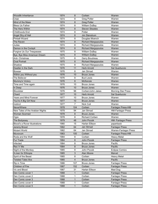| <b>Woodlik Inheritance</b>           | 1974 | 8            | Corben                     | Warren                       |
|--------------------------------------|------|--------------|----------------------------|------------------------------|
| Child                                | 1974 | 8            | <b>Greg Potter</b>         | Warren                       |
| Mind of the Mass                     | 1974 | 8            | <b>Greg Potter</b>         | Warren                       |
| <b>Bless Us Father</b>               | 1974 | 8            | William DuBay              | Warren                       |
| The Hero Within                      | 1974 | 8            | <b>Steven Skeates</b>      | Warren                       |
| Childhoods End                       | 1974 | 8            | Potter                     | Warren                       |
| Angel Shy of Hell                    | 1974 | 8            | Jim Stenstrum              | Warren                       |
| <b>Pinball Wizard</b>                | 1974 | 8            | Douglas Moench             | Warren                       |
| The Raven                            | 1974 | 8            | <b>Richard Margopoulos</b> | Warren                       |
| Judas                                | 1974 | 8            | <b>Richard Margopoulos</b> | Warren                       |
| Demon in the Cockpit                 | 1974 | 8            | <b>Richard Margopoulos</b> | Warren                       |
| Forgive Us Our Trespasses            | 1975 | 8            | <b>William DuBay</b>       | Warren                       |
| Bye, Bye Miss American Dream         | 1975 | 8            | <b>William DuBay</b>       | Warren                       |
| Anti- Christmas                      | 1975 | 8            | Gerry Boudreau             | Warren                       |
| <b>Oval Portrait</b>                 | 1975 | 8            | <b>Richard Margopoulos</b> | Warren                       |
| Shadow                               | 1975 | 8            | <b>Richard Margopoulos</b> | Warren                       |
| Dweller in the Dark                  | 1976 | 11           | <b>Herb Arnold</b>         | Sal Quartuccio               |
| <b>Bowser</b>                        | 1976 | 8            | Jan Strnad                 | Warren                       |
| Within you Without you               | 1976 | 10           | <b>Bruce Jones</b>         | Warren                       |
| The Believer                         | 1976 | 8            | <b>Bud Lewis</b>           | Warren                       |
| Mummy's Victory                      | 1976 | 8            | McKenzie                   | Warren                       |
| Time and Time again                  | 1976 | 10           | <b>Bruce Jones</b>         | Warren                       |
| In Deep                              | 1976 | 10           | <b>Bruce Jones</b>         | Warren                       |
| Bloodstar                            | 1976 | 96           | Corben/John Jakes          | <b>Morning Star Press</b>    |
| Chard                                | 1977 | 10           | <b>Herb Arnold</b>         | Sal Quartuccio               |
| <b>Years and Mind Forever</b>        | 1977 | 10           | <b>Bruce Jones</b>         | Warren                       |
| You're A Big Girl Now                | 1977 | 10           | <b>Bruce Jones</b>         | Warren                       |
| Instinct                             | 1977 | 7            | <b>Nick Cuti</b>           | Warren                       |
| <b>NeverWhere</b>                    | 1978 | 104          | Corben                     | Fantagor Press-HM            |
| New Tales of the Arabian Nights      | 1978 | 94           | Jan Strnad                 | <b>HM-Fantagor Press</b>     |
| <b>Woman Scorned</b>                 | 1978 | 8            | <b>Bruce Jones</b>         | Warren                       |
| Ogre                                 | 1978 | 8            | <b>Richard Corben</b>      | Warren                       |
| The Bodyssey                         | 1979 | 48           | John Pocsik                | <b>HM- Fantagor Press</b>    |
| <b>Blood's a Rover illustrations</b> | 1980 | 15           | Harlan Ellison             | paperback                    |
| Jeremy Brood                         | 1982 | 64           | <b>Jan Strnad</b>          | <b>Fantagor Press</b>        |
| <b>Mutant World</b>                  | 1982 | 64           | Jan Strnad                 | <b>Warren-Fantagor Press</b> |
| Muvovum                              | 1983 | 100          | Corben                     | <b>Fantagor Press-HM</b>     |
| Roda and the Wolf                    | 1984 | 8            | Corben                     | <b>Heavy Metal</b>           |
| Fur Trade                            | 1984 | 8            | John Pocsik                | <b>Fantagor Press</b>        |
| Infected                             | 1984 | 8            | <b>Bruce Jones</b>         | Pacific                      |
| Rex 'n' Me                           | 1984 | 8            | <b>Bruce Jones</b>         | Pacific                      |
| Night of the Monkey                  | 1985 | 8            | John Pocsik                | <b>Eclipse Comics</b>        |
| X-men for Ethiopia                   | 1985 | 3            | Alan Moore                 | Marvel                       |
| Spirit of the Beast                  | 1985 | 8            | Corben                     | <b>Heavy Metal</b>           |
| <b>Twisted Tales illos</b>           | 1985 | 4            | <b>Bruce Jones</b>         | Pacific                      |
| Rip in Time                          | 1986 | 107          | <b>Bruce Jones</b>         | <b>Fantagor Press</b>        |
| Children of Fire                     | 1987 | 152          | Corben                     | <b>Fantagor Press</b>        |
| Vic and Blood                        | 1987 | 31           | Harlan Ellison             | Mad Dog                      |
| Den Comic cover 1                    | 1988 | 1            | Corben                     | <b>Fantagor Press</b>        |
| Den Comic cover 2                    | 1988 | 1            | Corben                     | <b>Fantagor Press</b>        |
| Den Comic cover 3                    | 1988 | $\mathbf{1}$ | Corben                     | <b>Fantagor Press</b>        |
| Den Comic cover 4                    | 1988 | 1            | Corben                     | <b>Fantagor Press</b>        |
| Den Comic cover 5                    | 1988 | 1            | Corben                     | <b>Fantagor Press</b>        |
|                                      |      |              |                            |                              |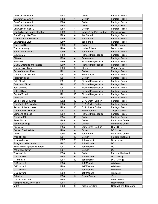| Den Comic cover 6              | 1988 | 1              | Corben                     | <b>Fantagor Press</b>       |
|--------------------------------|------|----------------|----------------------------|-----------------------------|
| Den Comic cover 7              | 1988 | 1              | Corben                     | <b>Fantagor Press</b>       |
| Den Comic cover 8              | 1988 | 1              | Corben                     | <b>Fantagor Press</b>       |
| Den Comic cover 9              | 1988 | 1              | Corben                     | <b>Fantagor Press</b>       |
| Den Comic cover 10             | 1988 | 1              | Corben                     | <b>Fantagor Press</b>       |
| The Fall of the House of Usher | 1989 | 28             | Edgar Allan Poe- Corben    | Pacific comics              |
| Such Pretty Little Toes        | 1989 | 6              | Jan Strnad                 | <b>Fantagor Press</b>       |
| Wreck of the Katera Dan        | 1989 | 6              | <b>Jan Strnad</b>          | <b>Fantagor Press</b>       |
| Donneman's Bluff               | 1989 | 4              | Jan Strnad                 | <b>Fantagor Press</b>       |
| Slash and Burn                 | 1989 | $\overline{2}$ | Corben                     | <b>Rip Off Press</b>        |
| The Juice Wagon                | 1990 | 14             | Harlan Ellison             | Dark Horse                  |
| Son of Mutant World            | 1990 | 60             | Jan Strnad                 | <b>Fantagor Press</b>       |
| Inducement                     | 1990 | 4              | <b>Richard Morgopoulos</b> | <b>Fantagor Press</b>       |
| <b>Different</b>               | 1990 | 4              | <b>Bruce Jones</b>         | <b>Fantagor Press</b>       |
| Fireworks                      | 1990 | 6              | <b>Richard Margopoulos</b> | <b>Fantagor Press</b>       |
| Silver, Emeralds and Rubies    | 1990 | 6              | <b>Richard Margopoulos</b> | <b>Fantagor Press</b>       |
| <b>Turtles Take Time</b>       | 1990 | 32             | Strnad                     | <b>Mirage Press</b>         |
| <b>Cave of Ancient Fear</b>    | 1991 |                | Corben                     |                             |
| The Secret of Zokma            | 1991 | 4<br>9         | <b>Herb Arnold</b>         | <b>Fantagor Press</b>       |
| Forgotten Tomb                 |      |                |                            | <b>Fantagor Press</b>       |
| <b>Cold Blood</b>              | 1991 | 6              | Corben                     | <b>Fantagor Press</b>       |
|                                | 1991 | 10             | <b>Richard Margopoulos</b> | <b>Fantagor Press</b>       |
| Cartoon of Blood               | 1991 | 10             | <b>Richard Margopoulos</b> | <b>Fantagor Press</b>       |
| <b>Bath of Blood</b>           | 1991 | 14             | <b>Richard Margopoulos</b> | <b>Fantagor Press</b>       |
| <b>Birth of Blood</b>          | 1991 | 16             | <b>Richard Margopoulos</b> | <b>Fantagor Press</b>       |
| Crypt of Blood                 | 1991 | 10             | <b>Richard Margopoulos</b> | <b>Fantagor Press</b>       |
| Densaga                        | 1992 | 84             | Corben                     | <b>Fantagor Press</b>       |
| Seed of the Sepulcher          | 1992 | 12             | C. A. Smith- Corben        | <b>Fantagor Press</b>       |
| The Vault of Yo Vombis         | 1993 | 10             | C. A. Smith- Corben        | <b>Fantagor Press</b>       |
| Return of the Sorcerer         | 1993 | 10             | C. A. Smith- Corben        | <b>Fantagor Press</b>       |
| The Sound of Thunder           | 1993 | 12             | Ray Bradbury               | <b>Topps Comics</b>         |
| Starstone of Blood             | 1993 | 6              | <b>Richard Margopoulos</b> | <b>Fantagor Press</b>       |
| From the Pit                   | 1994 | 40             | Corben                     | <b>Fantagor Press</b>       |
| Gone Fishin'                   | 1995 | 4              | Corben                     | Penthouse Comix             |
| Penthouse gags                 | 1995 | 6              | Corben                     | <b>Penthouse Comix</b>      |
| Ringworld                      | 1995 | 9              | Larry Niven- Corben        | Omni Comix                  |
| <b>Batman Black/White</b>      | 1996 | 8              | Strnad                     | <b>DC Comics</b>            |
| Denz                           | 1996 | 66             | Jan Strnad                 | Penthouse Comix             |
| Web of Fear                    | 1997 | 10             | Corben                     | <b>Frazetta Illustrated</b> |
| Alien Alchemy                  | 1997 | 66             | John Arcudi                | Dark Horse                  |
| Gangland: Killer Smile         | 1997 | 10             | John Pocsik                | DC                          |
| Heart Throb: Apposites Attract | 1997 | 6              | John Pocsik                | <b>DC</b>                   |
| Weird War cover                | 1997 |                | Corben                     | <b>DC</b>                   |
| Tower of Ho                    | 1998 | 8              | Corben                     | Frazetta Illustrated        |
| The Surviver                   | 1998 | 6              | John Pocsik                | D. C. Vertigo               |
| Killer Smile                   | 1998 | 10             | John Pocsik                | D. C. Vertigo               |
| C-23 cover5                    | 1998 | 1              | <b>Jeff Mariotte</b>       | Wildstorm                   |
| C-23 cover6                    | 1998 | 1              | <b>Jeff Mariotte</b>       | Wildstorm                   |
| C-23 cover7                    | 1998 | $\mathbf{1}$   | <b>Jeff Mariotte</b>       | Wildstorm                   |
| C-23 cover8                    | 1998 | 1              | <b>Jeff Mariotte</b>       | Wildstorm                   |
| Satanica                       | 1998 | 5              | <b>Glenn Danzig</b>        | Verotic                     |
| Marvel bookcover               | 1998 | 1              |                            | <b>Byron Priess</b>         |
| Vampire cover, 2 versions      | 1998 | $\overline{2}$ |                            | <b>Heavy Metal</b>          |
| M-80                           | 1998 | $\,6\,$        | Arthur Suydam              | Galaxy: Forbidden Zone      |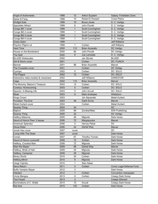| Angel of Andromeda                     | 1998         | 12           | Arthur Suydam                  | Galaxy: Forbidden Zone            |
|----------------------------------------|--------------|--------------|--------------------------------|-----------------------------------|
| Spear & Fang                           | 1998         | 10           | Robert E Howard                | <b>Cross Plains</b>               |
| <b>Wolfgirl Eats</b>                   | 1999         | 10           | <b>Bruce Jones</b>             | D. C. Vertigo                     |
| <b>Apposites Attract</b>               | 1999         | 6            | John Pocsik                    | D. C. Vertigo                     |
| Congo Bill 1 cover                     | 1999         | 1            | Scott Cunningham               | D. C. Vertigo                     |
| Congo Bill 2 cover                     | 1999         | 1            | Scott Cunningham               | D. C. Vertigo                     |
| Congo Bill 3 cover                     | 1999         | $\mathbf{1}$ | Scott Cunningham               | D. C. Vertigo                     |
| Congo Bill 4 cover                     | 1999         | 1            | Scott Cunningham               | D. C. Vertigo                     |
| <b>Grass Gator</b>                     | 1999         |              |                                | <b>Jeff Williams</b>              |
| Psychic Pilgrim cd                     | 1999         | 1            | Corben                         | <b>Jeff Williams</b>              |
| <b>Hard Time</b>                       | 2000         | 112          | <b>Brian Azzarello</b>         | DC Vertigo                        |
| House on the Borderland                | 2000         | 84           | John Pocsik                    | DC Vertigo                        |
| The Split                              | 2000         | 8            | Joe Lansdale                   | D. C. Vertigo                     |
| <b>BLUDD Webisodes</b>                 | 2000         |              | Jan Strnad                     | <b>BLUDD</b>                      |
| Girl & Worm cover                      | 2001         |              | Corben                         | <b>DC: FLINCH</b>                 |
| <b>Banner</b>                          | 2001         | 88           | <b>Brian Azzarello</b>         | Marvel                            |
| The Crusades cover                     | 2001         |              | Corben                         | DC Vertigo                        |
| Cyclops                                | 2002         | 5            | Corben                         | DC: SOLO                          |
| The Plague                             | 2002         | 12           | Corben                         | DC: SOLO                          |
| Interactive video: models & characters | 2002         |              | <b>Jeff Williams</b>           | <b>DARKSTAR</b>                   |
| Cage                                   | 2002         | 110          | <b>Brian Azzarello</b>         | Marvel                            |
| The Mummy: Belzon's Treasure           | 2003         | 12           | Corben                         | DC: SOLO                          |
| Cowboy: Homecoming                     | 2003         | 5            | Corben                         | DC: SOLO                          |
| Spector, A Missing Life                | 2003         | 11           | John Arcudi                    | DC: SOLO                          |
|                                        | 2003         |              |                                |                                   |
| <b>Mask</b><br>Kings Crown             | 2003         | 8            | Mark Andreyko<br>Jim Alexander | Wildstorm<br><b>Metal Hurlant</b> |
| Punisher: The End                      |              |              |                                |                                   |
| Metal Hurlant cover                    | 2004<br>2004 | 48           | <b>Garth Ennis</b><br>Corben   | Marvel<br><b>Metal Hurlant</b>    |
|                                        | 2004         | 44           |                                | <b>DC</b>                         |
| <b>Swamp Thing</b>                     | 2005         | 89           | Zombie/Niles                   |                                   |
| <b>Bigfoot</b>                         | 2005         | 22           |                                | <b>IDW Publishing</b>             |
| <b>Swamp Thing</b>                     |              |              |                                | DC Vertigo                        |
| <b>Hellboy Makoma</b>                  | 2005         | 46           | Mignola                        | Dark Horse                        |
| Haunt of Horror Poe> 3 issues          | 2006         | 72           | Margopoulos                    | Marvel                            |
| American Splendor                      | 2006         | 5            | Harvey Pekar                   | <b>DC</b>                         |
| <b>Ghost Rider</b>                     | 2006         | 44           | Daniel Way                     | Marvel                            |
| Jonah Hex cover                        | 2007         | cover        |                                | <b>DC</b>                         |
| Living With The Dead                   | 2007         | cover        |                                | Dark Horse                        |
| Conan                                  | 2007         | 67           | <b>Timothy Truman</b>          | Dark Horse                        |
| Haunt of Horror Lovecraft              | 2008         | 72           | Corben                         | Dark Horse                        |
| Hellboy, Crooked Man                   | 2008         | 72           | Mignola                        | Dark Horse                        |
| Starr the Slayer                       | 2009         | 88           | Daniel Way                     | Marvel                            |
| Hellboy, Bride of Hell                 | 2009         | 24           | Mignola                        | Dark Horse                        |
| Hellboy, Camazotz                      | 2009         | 28           | Mignola                        | Dark Horse                        |
| Murky World                            | 2010         | 24           | Corben                         | Dark Horse                        |
| Hellboy, Mirror                        | 2010         | 8            | Mignola                        | Dark Horse                        |
| Usagi Yojimbo                          | 2010         | 1            | Stan Sakai                     |                                   |
| Dens Return                            | 2011         | 5            | Corben                         | Comic Legal Defense Fund          |
| <b>Buffy Vampire Slayer</b>            | 2012         | 3            |                                | Dark Horse                        |
| Infested                               | 2012         | 1            | Corben                         | Convention newspaper              |
| Uncle Mangus                           | 2013         | 8            | Corben                         | Creepy Dark Horse                 |
| <b>Two Faced</b>                       | 2013         | 3            |                                | <b>Creeps Warrant</b>             |
| Illuminations of C. Wallis             | 2014         | 10           | Arcudi                         | Creepy Dark Horse                 |
| <b>Rat God</b>                         | 2015         | 120          | Corben                         | Dark Horse                        |